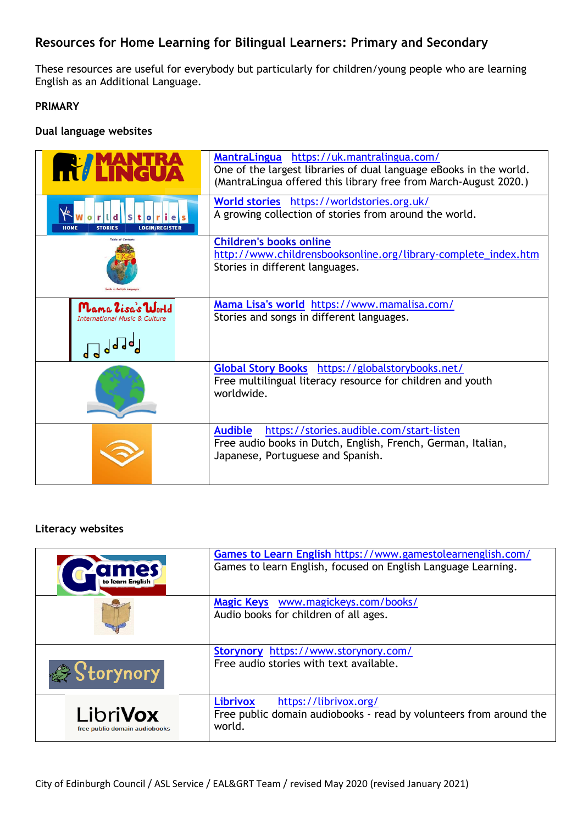## **Resources for Home Learning for Bilingual Learners: Primary and Secondary**

These resources are useful for everybody but particularly for children/young people who are learning English as an Additional Language.

### **PRIMARY**

#### **Dual language websites**

| <b>Y TRHI</b>                                                 | MantraLingua https://uk.mantralingua.com/<br>One of the largest libraries of dual language eBooks in the world.<br>(MantraLingua offered this library free from March-August 2020.) |
|---------------------------------------------------------------|-------------------------------------------------------------------------------------------------------------------------------------------------------------------------------------|
| <b>STORIES</b><br><b>HOMF</b><br><b>LOGIN/REGISTER</b>        | World stories https://worldstories.org.uk/<br>A growing collection of stories from around the world.                                                                                |
| Table of Content                                              | <b>Children's books online</b><br>http://www.childrensbooksonline.org/library-complete_index.htm<br>Stories in different languages.                                                 |
| Mama Zisa's World<br><b>International Music &amp; Culture</b> | Mama Lisa's world https://www.mamalisa.com/<br>Stories and songs in different languages.                                                                                            |
|                                                               | Global Story Books https://globalstorybooks.net/<br>Free multilingual literacy resource for children and youth<br>worldwide.                                                        |
|                                                               | https://stories.audible.com/start-listen<br><b>Audible</b><br>Free audio books in Dutch, English, French, German, Italian,<br>Japanese, Portuguese and Spanish.                     |

### **Literacy websites**

| ames<br>to learn English                         | Games to Learn English https://www.gamestolearnenglish.com/<br>Games to learn English, focused on English Language Learning. |
|--------------------------------------------------|------------------------------------------------------------------------------------------------------------------------------|
|                                                  | Magic Keys www.magickeys.com/books/<br>Audio books for children of all ages.                                                 |
| Storynory                                        | https://www.storynory.com/<br>Storynory<br>Free audio stories with text available.                                           |
| <b>LibriVox</b><br>free public domain audiobooks | <b>Librivox</b><br>https://librivox.org/<br>Free public domain audiobooks - read by volunteers from around the<br>world.     |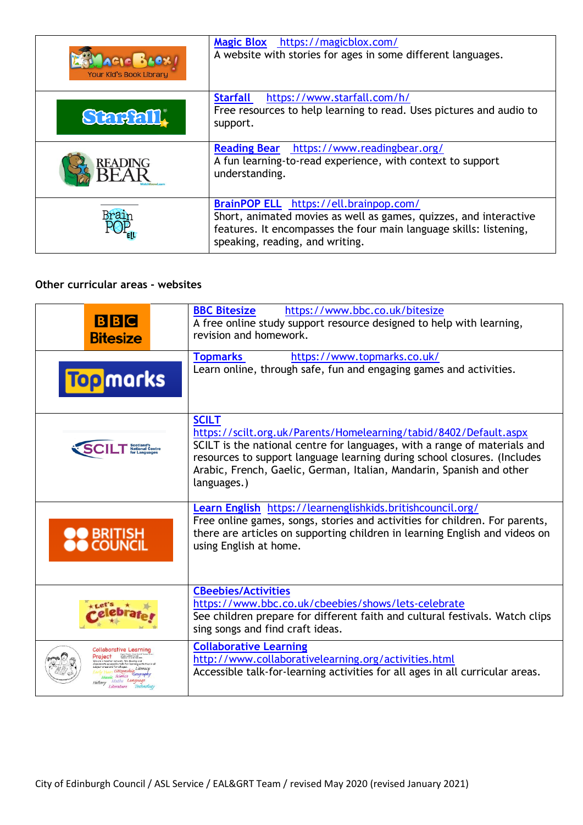| Your Kid's Book Library | Magic Blox https://magicblox.com/<br>A website with stories for ages in some different languages.                                                                                                                    |
|-------------------------|----------------------------------------------------------------------------------------------------------------------------------------------------------------------------------------------------------------------|
| Starfall.               | <b>Starfall</b><br>https://www.starfall.com/h/<br>Free resources to help learning to read. Uses pictures and audio to<br>support.                                                                                    |
| <b>READING</b>          | <b>Reading Bear</b><br>https://www.readingbear.org/<br>A fun learning-to-read experience, with context to support<br>understanding.                                                                                  |
|                         | BrainPOP ELL https://ell.brainpop.com/<br>Short, animated movies as well as games, quizzes, and interactive<br>features. It encompasses the four main language skills: listening,<br>speaking, reading, and writing. |

### **Other curricular areas - websites**

| <b>BBC</b><br><b>Bitesize</b>                                                                                                                                                      | <b>BBC Bitesize</b><br>https://www.bbc.co.uk/bitesize<br>A free online study support resource designed to help with learning,<br>revision and homework.                                                                                                                                                                           |
|------------------------------------------------------------------------------------------------------------------------------------------------------------------------------------|-----------------------------------------------------------------------------------------------------------------------------------------------------------------------------------------------------------------------------------------------------------------------------------------------------------------------------------|
| <b>Top</b> marks                                                                                                                                                                   | <b>Topmarks</b><br>https://www.topmarks.co.uk/<br>Learn online, through safe, fun and engaging games and activities.                                                                                                                                                                                                              |
|                                                                                                                                                                                    | <b>SCILT</b><br>https://scilt.org.uk/Parents/Homelearning/tabid/8402/Default.aspx<br>SCILT is the national centre for languages, with a range of materials and<br>resources to support language learning during school closures. (Includes<br>Arabic, French, Gaelic, German, Italian, Mandarin, Spanish and other<br>languages.) |
| ) BRITISH<br>) COUNCIL                                                                                                                                                             | Learn English https://learnenglishkids.britishcouncil.org/<br>Free online games, songs, stories and activities for children. For parents,<br>there are articles on supporting children in learning English and videos on<br>using English at home.                                                                                |
|                                                                                                                                                                                    | <b>CBeebies/Activities</b><br>https://www.bbc.co.uk/cbeebies/shows/lets-celebrate<br>See children prepare for different faith and cultural festivals. Watch clips<br>sing songs and find craft ideas.                                                                                                                             |
| Collaborative Learning<br>trington (OMPON NE DO)<br>Project<br>tweek. We develop an<br>Literacy<br>Citizenship<br>Geography<br>Science<br>Maths Languag<br>Literature<br>Technolog | <b>Collaborative Learning</b><br>http://www.collaborativelearning.org/activities.html<br>Accessible talk-for-learning activities for all ages in all curricular areas.                                                                                                                                                            |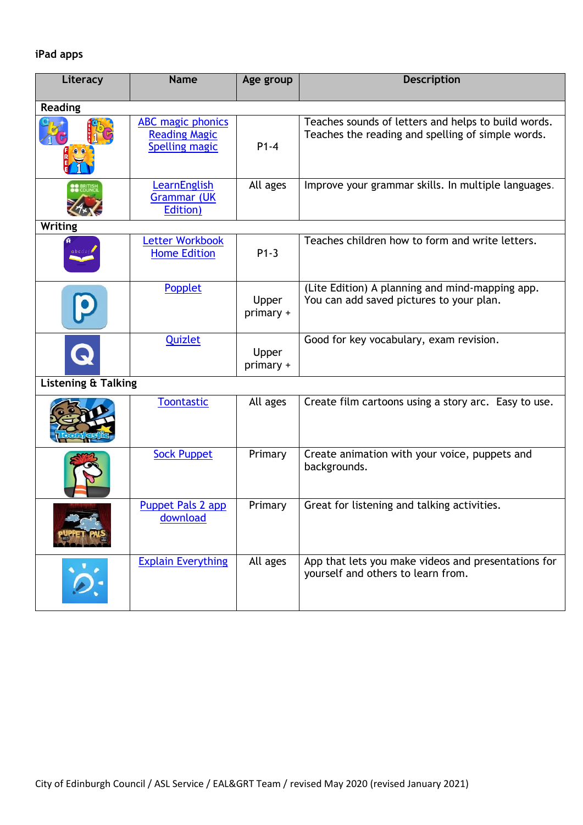# **iPad apps**

| Literacy                       | <b>Name</b>                                                               | Age group          | <b>Description</b>                                                                                       |
|--------------------------------|---------------------------------------------------------------------------|--------------------|----------------------------------------------------------------------------------------------------------|
| <b>Reading</b>                 |                                                                           |                    |                                                                                                          |
|                                | <b>ABC</b> magic phonics<br><b>Reading Magic</b><br><b>Spelling magic</b> | $P1-4$             | Teaches sounds of letters and helps to build words.<br>Teaches the reading and spelling of simple words. |
|                                | LearnEnglish<br><b>Grammar (UK</b><br>Edition)                            | All ages           | Improve your grammar skills. In multiple languages.                                                      |
| <b>Writing</b>                 |                                                                           |                    |                                                                                                          |
|                                | Letter Workbook<br><b>Home Edition</b>                                    | $P1-3$             | Teaches children how to form and write letters.                                                          |
|                                | Popplet                                                                   | Upper<br>primary + | (Lite Edition) A planning and mind-mapping app.<br>You can add saved pictures to your plan.              |
| Q                              | <b>Quizlet</b>                                                            | Upper<br>primary + | Good for key vocabulary, exam revision.                                                                  |
| <b>Listening &amp; Talking</b> |                                                                           |                    |                                                                                                          |
|                                | <b>Toontastic</b>                                                         | All ages           | Create film cartoons using a story arc. Easy to use.                                                     |
|                                | <b>Sock Puppet</b>                                                        | Primary            | Create animation with your voice, puppets and<br>backgrounds.                                            |
|                                | <b>Puppet Pals 2 app</b><br>download                                      | Primary            | Great for listening and talking activities.                                                              |
|                                | <b>Explain Everything</b>                                                 | All ages           | App that lets you make videos and presentations for<br>yourself and others to learn from.                |